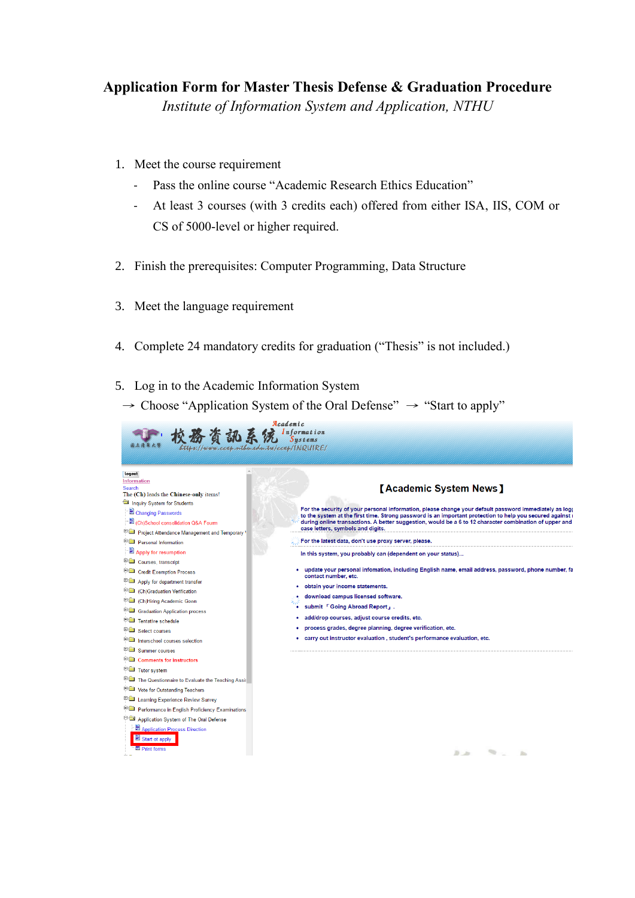## **Application Form for Master Thesis Defense & Graduation Procedure**

*Institute of Information System and Application, NTHU*

- 1. Meet the course requirement
	- Pass the online course "Academic Research Ethics Education"
	- At least 3 courses (with 3 credits each) offered from either ISA, IIS, COM or CS of 5000-level or higher required.
- 2. Finish the prerequisites: Computer Programming, Data Structure
- 3. Meet the language requirement
- 4. Complete 24 mandatory credits for graduation ("Thesis" is not included.)
- 5. Log in to the Academic Information System
	- $\rightarrow$  Choose "Application System of the Oral Defense"  $\rightarrow$  "Start to apply"

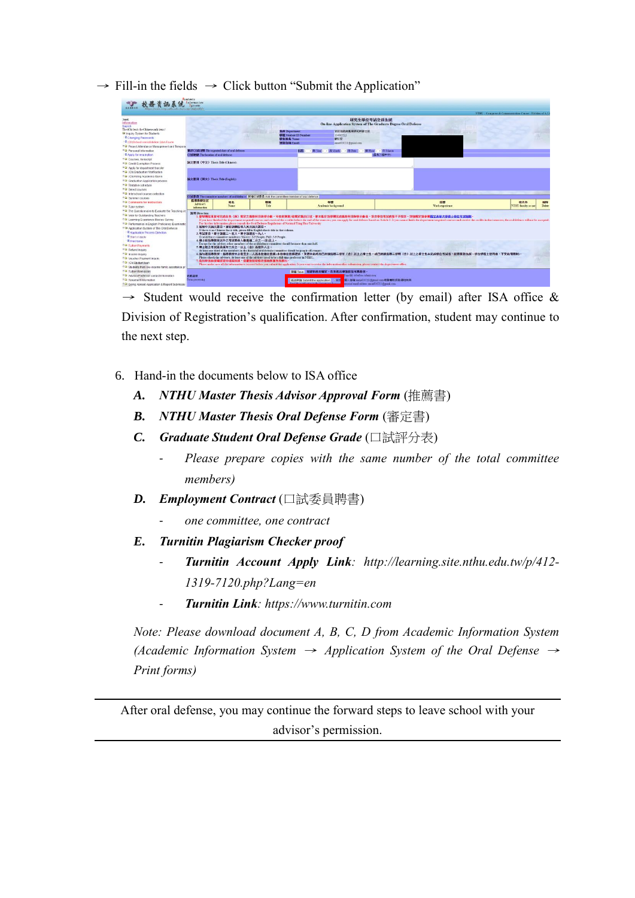$\rightarrow$  Fill-in the fields  $\rightarrow$  Click button "Submit the Application"

|                                                                                                                                                                                                                                                                                                                                                                                                                                                                                                                                                                                                                                                                                                  | ,,,,,,,<br>Information<br>Surrenz                                                                                                                                                                                                                                                                                                                                                                                                                                                                                                                                                                                                                                                                                                                                                                                                                                                                                                                                                                                                                                                                                                                                                                                                                                                                                                                                                                                                          |             |                                                                                            |                                                                                                                                                         |                                                                                            |                       |                                                            |  |
|--------------------------------------------------------------------------------------------------------------------------------------------------------------------------------------------------------------------------------------------------------------------------------------------------------------------------------------------------------------------------------------------------------------------------------------------------------------------------------------------------------------------------------------------------------------------------------------------------------------------------------------------------------------------------------------------------|--------------------------------------------------------------------------------------------------------------------------------------------------------------------------------------------------------------------------------------------------------------------------------------------------------------------------------------------------------------------------------------------------------------------------------------------------------------------------------------------------------------------------------------------------------------------------------------------------------------------------------------------------------------------------------------------------------------------------------------------------------------------------------------------------------------------------------------------------------------------------------------------------------------------------------------------------------------------------------------------------------------------------------------------------------------------------------------------------------------------------------------------------------------------------------------------------------------------------------------------------------------------------------------------------------------------------------------------------------------------------------------------------------------------------------------------|-------------|--------------------------------------------------------------------------------------------|---------------------------------------------------------------------------------------------------------------------------------------------------------|--------------------------------------------------------------------------------------------|-----------------------|------------------------------------------------------------|--|
| www.com.utfortion.twicewallNDUPF-                                                                                                                                                                                                                                                                                                                                                                                                                                                                                                                                                                                                                                                                |                                                                                                                                                                                                                                                                                                                                                                                                                                                                                                                                                                                                                                                                                                                                                                                                                                                                                                                                                                                                                                                                                                                                                                                                                                                                                                                                                                                                                                            |             |                                                                                            |                                                                                                                                                         |                                                                                            |                       | NTIIU: Computer & Communication Center / Division of A.I.  |  |
| Information<br>Search<br>The (Ch) leads the Chinese-only remail<br><sup>Ca</sup> Inquiry System for Students<br><sup>#</sup> Changing Passwords<br>E (Ch)School conindidation O&A Fourm<br>Project Attendance Management and Temporal                                                                                                                                                                                                                                                                                                                                                                                                                                                            |                                                                                                                                                                                                                                                                                                                                                                                                                                                                                                                                                                                                                                                                                                                                                                                                                                                                                                                                                                                                                                                                                                                                                                                                                                                                                                                                                                                                                                            |             | 系所 Department:<br><b>GIRE Student ID Number:</b><br>學生姓名 Name:<br><b>WAS GIVE Email:</b>   | 管识杂综典惠用研究所语士班<br>104065513<br>解説安<br>mune810211 (Sgmml com                                                                                              | 研究生學位考試登経系統<br>On-line Application System of The Graduate Degree Oral Defense              |                       |                                                            |  |
| <sup>8</sup> <sup>2</sup> Personal Information                                                                                                                                                                                                                                                                                                                                                                                                                                                                                                                                                                                                                                                   | 重計口試日期 The expected date of oral defense:                                                                                                                                                                                                                                                                                                                                                                                                                                                                                                                                                                                                                                                                                                                                                                                                                                                                                                                                                                                                                                                                                                                                                                                                                                                                                                                                                                                                  |             |                                                                                            | · 月 Monte · 日 Date · · 韩 Hour · · 分 Maute<br>同時<br>- <sup>22</sup> Year -                                                                               |                                                                                            |                       |                                                            |  |
| <sup>2</sup> Apply for resumption                                                                                                                                                                                                                                                                                                                                                                                                                                                                                                                                                                                                                                                                | <b>CHARRA The location of oral defeater</b>                                                                                                                                                                                                                                                                                                                                                                                                                                                                                                                                                                                                                                                                                                                                                                                                                                                                                                                                                                                                                                                                                                                                                                                                                                                                                                                                                                                                |             |                                                                                            |                                                                                                                                                         | ■ 長さ5回中文)                                                                                  |                       |                                                            |  |
| <sup>H</sup> <sup>(2</sup> Courses transcript)<br><b>FO Credit Exemption Process</b><br>** Apply for department transfer                                                                                                                                                                                                                                                                                                                                                                                                                                                                                                                                                                         | 論文題目 (中文) Their Title (Chinese):                                                                                                                                                                                                                                                                                                                                                                                                                                                                                                                                                                                                                                                                                                                                                                                                                                                                                                                                                                                                                                                                                                                                                                                                                                                                                                                                                                                                           |             |                                                                                            |                                                                                                                                                         |                                                                                            |                       |                                                            |  |
| <b>EQ (Ch)Graduation Verification</b><br><sup>R</sup> Ca (Ch'Aliring Academic Gown)<br><sup>8</sup> <sup>12</sup> Graduation Application process<br>FGI Tentative schedule<br><sup>9</sup> Cal Select courses                                                                                                                                                                                                                                                                                                                                                                                                                                                                                    | 論文题目 (英文) Theis Title (English):                                                                                                                                                                                                                                                                                                                                                                                                                                                                                                                                                                                                                                                                                                                                                                                                                                                                                                                                                                                                                                                                                                                                                                                                                                                                                                                                                                                                           |             |                                                                                            |                                                                                                                                                         |                                                                                            |                       |                                                            |  |
| <b>8</b> Interschool courses selection                                                                                                                                                                                                                                                                                                                                                                                                                                                                                                                                                                                                                                                           |                                                                                                                                                                                                                                                                                                                                                                                                                                                                                                                                                                                                                                                                                                                                                                                                                                                                                                                                                                                                                                                                                                                                                                                                                                                                                                                                                                                                                                            |             |                                                                                            |                                                                                                                                                         |                                                                                            |                       |                                                            |  |
| <sup>H</sup> C Summer courses                                                                                                                                                                                                                                                                                                                                                                                                                                                                                                                                                                                                                                                                    |                                                                                                                                                                                                                                                                                                                                                                                                                                                                                                                                                                                                                                                                                                                                                                                                                                                                                                                                                                                                                                                                                                                                                                                                                                                                                                                                                                                                                                            |             | □試要器 The committee members of eral defense 所增□試要品 Add the committee member of oral defense |                                                                                                                                                         |                                                                                            |                       |                                                            |  |
| <sup>#</sup> <sup>2</sup> Comments for instructors<br><sup>#</sup> Tutor system                                                                                                                                                                                                                                                                                                                                                                                                                                                                                                                                                                                                                  | 指得数按注记<br>Advisor's<br>information.                                                                                                                                                                                                                                                                                                                                                                                                                                                                                                                                                                                                                                                                                                                                                                                                                                                                                                                                                                                                                                                                                                                                                                                                                                                                                                                                                                                                        | 姓名<br>Name. | 歌裤<br>Title                                                                                | 學歷<br>Academic background                                                                                                                               |                                                                                            | 提展<br>Work experience | 校内外<br><b>BARK</b><br>Delete<br><b>NTHU</b> faculty or not |  |
| <sup>14</sup> <sup>1</sup> The Questionnaire to Evaluate the Teaching A<br><sup>5</sup> <sup>2</sup> Vote for Outstanding Teachers<br><sup>14</sup> Learning Experience Review Survey<br>* <sup>1</sup> Performance in English Proficiency Examinatio<br><sup>#1</sup> Application System of The Oral Defense<br><sup>2</sup> Application Process Direction<br>Start of apply<br><sup>E</sup> Print forms<br><sup>8</sup> <sup>1</sup> Tutton Payments<br><sup>#</sup> <sup>2</sup> Refund Inquiry<br><sup>6</sup> C income inquiry<br><b>FSI Voucher Payment Inquiry</b><br><sup>12</sup> <sub>(Ch)Studentioan</sub><br><sup>8</sup> <sup>2</sup> Students from low-income family assistance or | 說明 Direction<br>·曾學開結東前可完成各条(所)進定之應修利日與學分數,可信意開第3億載定提出口試。豐未能於該學開完成應修利日與學分數者,該次學位考試成錯不予採計。詳細視定語參開 <u>提立滿基大學由十學位考試細則</u><br>If you have finithed the department required courses and received the credits before the end of the semester, you can apply for oral defense based on Article 3. It you cannot finith the department required courses and rece<br>For further information please consult the Oral Defense Regulations of National Tsing Hua University<br>2. 新鮮中文論文題目, 諸紛誅編位填入某文論文題目:<br>If there is no Chinese thesis title, please fill in English thesis title in that colaran.<br>3.考试委员:哪士誘强三~五人,博士装置五~九人。<br>Oral defense committee members: Master: 3-5 People; PhD: 5-9 People.<br>4. 康士医指導教授以外之考試委員人教惠建二分之一(含)以上。<br>Except for the adviser, other members of the oral defense committee should be more than one-half.<br>5.博士班之考試委員領有三分之一以上(含) 高校外人士。<br>At least one third of the members in the docterial oral defense committee should be people off-campus.<br>6. 活勾强指導發授,指導發授中必需至少一人高本校應任教師 (本校應任教師選休,其選休前商月已終續指導三學年(含)以上之權士生,或已將接指導三學期(含)以上之順士生未完成學位考試者,經療服務系所、學位學程主發同意,不受此項課制)。<br>Please check the advisors. At least one of the advisors need to be a full time professor in NTHU.<br>7. 数出申请前请确認資料填寫無情, 我害後如欲等改善向所属免所提出。<br>Please make ture all the information is correct before you submit the application. It you want to revise the information after submission, please contact the department office. |             |                                                                                            |                                                                                                                                                         |                                                                                            |                       |                                                            |  |
| <sup>n</sup> <sup>a</sup> Tuition Remission<br><sup>8</sup> <sup>3</sup> Advises Professor contact information<br><sup>8</sup> <sup>1</sup> Tenement information<br><b>BELL Groom Abroad Anological &amp; Danori Schmiesin</b>                                                                                                                                                                                                                                                                                                                                                                                                                                                                   | 多質の質子<br><b>Form processing</b>                                                                                                                                                                                                                                                                                                                                                                                                                                                                                                                                                                                                                                                                                                                                                                                                                                                                                                                                                                                                                                                                                                                                                                                                                                                                                                                                                                                                            |             |                                                                                            | 存储 Save 和資料商未確定,在未選出申請前皆可再修改。<br>medify a before submission.<br>送出申請 Submit the application / 设定<br>Family the modifications to the Japantones from use | · 製人信箱(muse810211) gmml.com/平窗寄柱訊真確知所所<br>ersprod small address surried 10211 (heural com- |                       |                                                            |  |

 $\rightarrow$  Student would receive the confirmation letter (by email) after ISA office & Division of Registration's qualification. After confirmation, student may continue to the next step.

- 6. Hand-in the documents below to ISA office
	- *A. NTHU Master Thesis Advisor Approval Form* (推薦書)
	- *B. NTHU Master Thesis Oral Defense Form* (審定書)
	- *C. Graduate Student Oral Defense Grade* (口試評分表)
		- *Please prepare copies with the same number of the total committee members)*
	- *D. Employment Contract* (口試委員聘書)
		- *one committee, one contract*
	- *E. Turnitin Plagiarism Checker proof*
		- *Turnitin Account Apply Link: http://learning.site.nthu.edu.tw/p/412- 1319-7120.php?Lang=en*
		- *Turnitin Link: https://www.turnitin.com*

*Note: Please download document A, B, C, D from Academic Information System (Academic Information System* <sup>→</sup> *Application System of the Oral Defense* <sup>→</sup> *Print forms)*

After oral defense, you may continue the forward steps to leave school with your advisor's permission.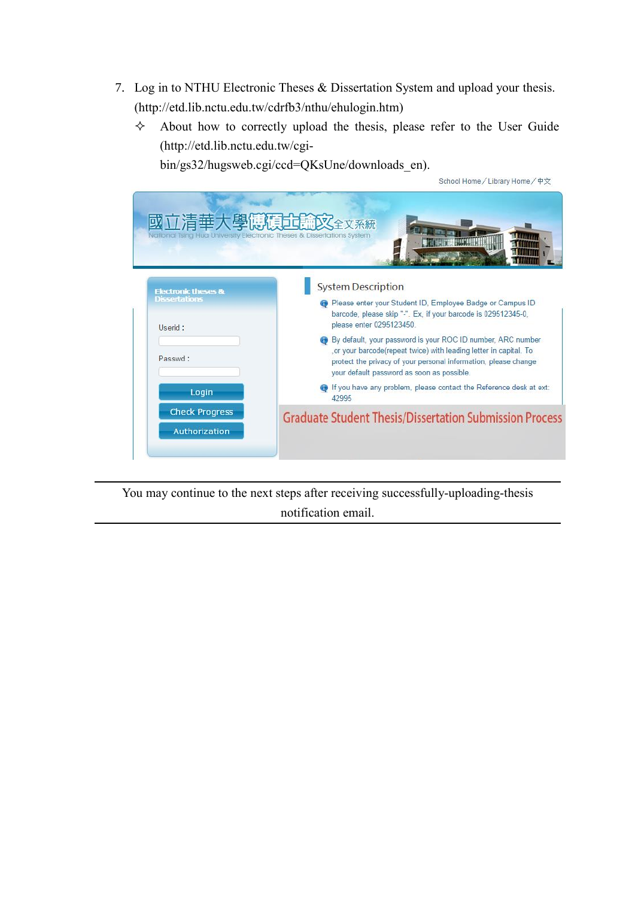- 7. Log in to NTHU Electronic Theses & Dissertation System and upload your thesis. (http://etd.lib.nctu.edu.tw/cdrfb3/nthu/ehulogin.htm)
	- $\diamond$  About how to correctly upload the thesis, please refer to the User Guide (http://etd.lib.nctu.edu.tw/cgi-

School Home/Library Home/中文

bin/gs32/hugsweb.cgi/ccd=QKsUne/downloads\_en).

| 清華大學博福<br>National Tsing Hua University Electronic Theses & Dissertations System |                                                                                                                                                                                                                                                    |  |  |  |  |
|----------------------------------------------------------------------------------|----------------------------------------------------------------------------------------------------------------------------------------------------------------------------------------------------------------------------------------------------|--|--|--|--|
| <b>Electronic theses &amp;</b>                                                   | <b>System Description</b>                                                                                                                                                                                                                          |  |  |  |  |
| <b>Dissertations</b><br>Userid:                                                  | <b>C</b> Please enter your Student ID, Employee Badge or Campus ID<br>barcode, please skip "-". Ex, if your barcode is 029512345-0.<br>please enter 0295123450.                                                                                    |  |  |  |  |
| Passwd:                                                                          | By default, your password is your ROC ID number, ARC number<br>, or your barcode(repeat twice) with leading letter in capital. To<br>protect the privacy of your personal information, please change<br>your default password as soon as possible. |  |  |  |  |
| Login                                                                            | <b>O</b> If you have any problem, please contact the Reference desk at ext:<br>42995                                                                                                                                                               |  |  |  |  |
| <b>Check Progress</b><br><b>Authorization</b>                                    | <b>Graduate Student Thesis/Dissertation Submission Process</b>                                                                                                                                                                                     |  |  |  |  |

You may continue to the next steps after receiving successfully-uploading-thesis notification email.